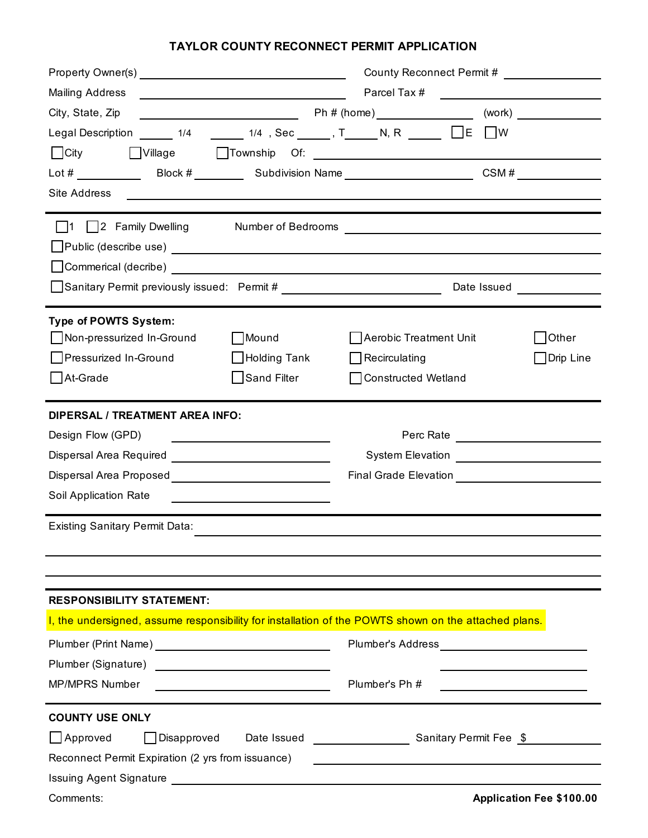## **TAYLOR COUNTY RECONNECT PERMIT APPLICATION**

|                                                                                                                                                                                                                                | County Reconnect Permit #                                 |                                                                                                                                                                                                                                |                                 |
|--------------------------------------------------------------------------------------------------------------------------------------------------------------------------------------------------------------------------------|-----------------------------------------------------------|--------------------------------------------------------------------------------------------------------------------------------------------------------------------------------------------------------------------------------|---------------------------------|
| <b>Mailing Address</b>                                                                                                                                                                                                         | <u> 1989 - Johann Barnett, fransk politik (d. 1989)</u>   |                                                                                                                                                                                                                                |                                 |
| City, State, Zip                                                                                                                                                                                                               |                                                           |                                                                                                                                                                                                                                |                                 |
| Legal Description $\frac{1}{4}$ 1/4 $\frac{1}{4}$ 1/4 $\frac{1}{4}$ Sec $\frac{1}{4}$ , T N, R $\frac{1}{4}$ E                                                                                                                 |                                                           |                                                                                                                                                                                                                                | $\Box$ W                        |
| $\Box$ City                                                                                                                                                                                                                    |                                                           | Village Township Of: 1999                                                                                                                                                                                                      |                                 |
|                                                                                                                                                                                                                                |                                                           |                                                                                                                                                                                                                                | CSM#                            |
| Site Address                                                                                                                                                                                                                   |                                                           |                                                                                                                                                                                                                                |                                 |
| 1 2 Family Dwelling Number of Bedrooms Number of Bedrooms Number 1 2 Research Communication Communication Communication Communication Communication Communication Communication Communication Communication Communication Comm |                                                           |                                                                                                                                                                                                                                |                                 |
| ■ Public (describe use) ■ No. 2020 No. 2020 No. 2021 No. 2021 No. 2021 No. 2021 No. 2021 No. 2021 No. 2021 No. 2021 No. 2021 No. 2021 No. 2021 No. 2021 No. 2021 No. 2021 No. 2021 No. 2021 No. 2022 No. 2022 No. 2022 No. 20  |                                                           |                                                                                                                                                                                                                                |                                 |
| Commerical (decribe) Laterature and the commercial commercial contract of the contract of the contract of the contract of the contract of the contract of the contract of the contract of the contract of the contract of the  |                                                           |                                                                                                                                                                                                                                |                                 |
| □ Sanitary Permit previously issued: Permit # _________________________________                                                                                                                                                |                                                           |                                                                                                                                                                                                                                | Date Issued <b>Date</b>         |
|                                                                                                                                                                                                                                |                                                           |                                                                                                                                                                                                                                |                                 |
| <b>Type of POWTS System:</b>                                                                                                                                                                                                   |                                                           |                                                                                                                                                                                                                                |                                 |
| Non-pressurized In-Ground                                                                                                                                                                                                      | Mound                                                     | Aerobic Treatment Unit                                                                                                                                                                                                         | <b>Other</b>                    |
| Pressurized In-Ground                                                                                                                                                                                                          | $\Box$ Holding Tank                                       | Recirculating                                                                                                                                                                                                                  | _l Drip Line                    |
| At-Grade                                                                                                                                                                                                                       | Sand Filter                                               | Constructed Wetland                                                                                                                                                                                                            |                                 |
| <b>DIPERSAL / TREATMENT AREA INFO:</b>                                                                                                                                                                                         |                                                           |                                                                                                                                                                                                                                |                                 |
| Design Flow (GPD)                                                                                                                                                                                                              | <u> 1989 - Andrea Station Books, amerikansk politik (</u> |                                                                                                                                                                                                                                |                                 |
|                                                                                                                                                                                                                                |                                                           |                                                                                                                                                                                                                                |                                 |
|                                                                                                                                                                                                                                |                                                           |                                                                                                                                                                                                                                |                                 |
| Soil Application Rate                                                                                                                                                                                                          |                                                           |                                                                                                                                                                                                                                |                                 |
| <b>Existing Sanitary Permit Data:</b>                                                                                                                                                                                          |                                                           |                                                                                                                                                                                                                                |                                 |
|                                                                                                                                                                                                                                |                                                           |                                                                                                                                                                                                                                |                                 |
|                                                                                                                                                                                                                                |                                                           |                                                                                                                                                                                                                                |                                 |
| <b>RESPONSIBILITY STATEMENT:</b>                                                                                                                                                                                               |                                                           |                                                                                                                                                                                                                                |                                 |
| I, the undersigned, assume responsibility for installation of the POWTS shown on the attached plans.                                                                                                                           |                                                           |                                                                                                                                                                                                                                |                                 |
|                                                                                                                                                                                                                                |                                                           | Plumber's Address [1995] [1996] [1996] [1996] [1996] [1996] [1996] [1996] [1996] [1996] [1996] [1996] [1996] [1996] [1996] [1996] [1996] [1996] [1996] [1996] [1996] [1996] [1996] [1996] [1996] [1996] [1996] [1996] [1996] [ |                                 |
|                                                                                                                                                                                                                                |                                                           |                                                                                                                                                                                                                                |                                 |
| <b>MP/MPRS Number</b>                                                                                                                                                                                                          |                                                           | Plumber's Ph #                                                                                                                                                                                                                 |                                 |
| <b>COUNTY USE ONLY</b>                                                                                                                                                                                                         |                                                           |                                                                                                                                                                                                                                |                                 |
| $\Box$ Approved<br>Disapproved                                                                                                                                                                                                 | Date Issued                                               | <b>Sanitary Permit Fee</b> \$                                                                                                                                                                                                  |                                 |
| Reconnect Permit Expiration (2 yrs from issuance)                                                                                                                                                                              |                                                           |                                                                                                                                                                                                                                |                                 |
|                                                                                                                                                                                                                                |                                                           |                                                                                                                                                                                                                                |                                 |
| Comments:                                                                                                                                                                                                                      |                                                           |                                                                                                                                                                                                                                | <b>Application Fee \$100.00</b> |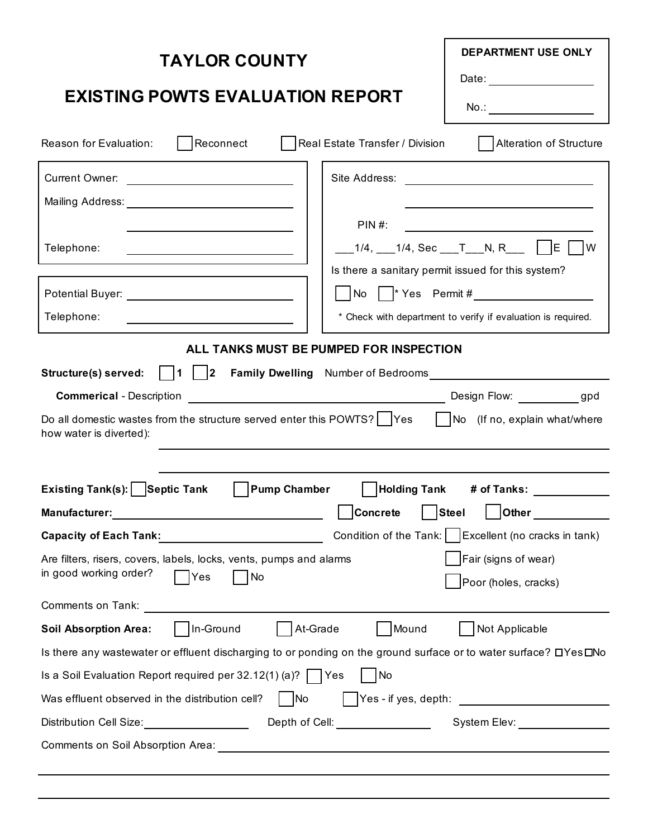| <b>DEPARTMENT USE ONLY</b><br><b>TAYLOR COUNTY</b><br>Date: ______________________                                                                                                                                                                                                                                                                                                                                                                                                                 |  |  |  |  |  |
|----------------------------------------------------------------------------------------------------------------------------------------------------------------------------------------------------------------------------------------------------------------------------------------------------------------------------------------------------------------------------------------------------------------------------------------------------------------------------------------------------|--|--|--|--|--|
| <b>EXISTING POWTS EVALUATION REPORT</b><br>No.: _________________________                                                                                                                                                                                                                                                                                                                                                                                                                          |  |  |  |  |  |
| Reconnect<br>Real Estate Transfer / Division<br>  Alteration of Structure<br>Reason for Evaluation:                                                                                                                                                                                                                                                                                                                                                                                                |  |  |  |  |  |
| Current Owner:<br><u> Territoria de la contenentación de la contenentación de la contenentación de la contenentación de la contene</u><br>PIN #:<br>___1/4, ___1/4, Sec ___T___N, R___    E    W<br>Telephone:<br>Is there a sanitary permit issued for this system?<br>$\begin{bmatrix} \text{No} &   &  ^* \text{Yes} & \text{Permit}\ \# & \text{I} & \text{I} \end{bmatrix}$                                                                                                                   |  |  |  |  |  |
| Telephone:<br>* Check with department to verify if evaluation is required.                                                                                                                                                                                                                                                                                                                                                                                                                         |  |  |  |  |  |
| ALL TANKS MUST BE PUMPED FOR INSPECTION<br>Structure(s) served:    1    2  Family Dwelling Number of Bedrooms:<br>Do all domestic wastes from the structure served enter this POWTS? $\vert$ Yes $\vert$ No (If no, explain what/where<br>how water is diverted):                                                                                                                                                                                                                                  |  |  |  |  |  |
| Existing Tank(s):   Septic Tank<br>  Pump Chamber   Holding Tank # of Tanks:                                                                                                                                                                                                                                                                                                                                                                                                                       |  |  |  |  |  |
| Concrete Steel Other                                                                                                                                                                                                                                                                                                                                                                                                                                                                               |  |  |  |  |  |
| Condition of the Tank:   Excellent (no cracks in tank)<br>Capacity of Each Tank: 2008 2014 2020 2021                                                                                                                                                                                                                                                                                                                                                                                               |  |  |  |  |  |
| Fair (signs of wear)<br>Are filters, risers, covers, labels, locks, vents, pumps and alarms<br>in good working order?<br>No<br>Yes<br>Poor (holes, cracks)<br><b>Comments on Tank:</b>                                                                                                                                                                                                                                                                                                             |  |  |  |  |  |
| In-Ground<br>Mound<br>At-Grade<br>Not Applicable<br><b>Soil Absorption Area:</b>                                                                                                                                                                                                                                                                                                                                                                                                                   |  |  |  |  |  |
| Is there any wastewater or effluent discharging to or ponding on the ground surface or to water surface? DYes DNo                                                                                                                                                                                                                                                                                                                                                                                  |  |  |  |  |  |
| Is a Soil Evaluation Report required per 32.12(1) (a)?   Yes<br>No                                                                                                                                                                                                                                                                                                                                                                                                                                 |  |  |  |  |  |
| $\sqrt{\frac{1}{1-\frac{1}{1-\frac{1}{1-\frac{1}{1-\frac{1}{1-\frac{1}{1-\frac{1}{1-\frac{1}{1-\frac{1}{1-\frac{1}{1-\frac{1}{1-\frac{1}{1-\frac{1}{1-\frac{1}{1-\frac{1}{1-\frac{1}{1-\frac{1}{1-\frac{1}{1-\frac{1}{1-\frac{1}{1-\frac{1}{1-\frac{1}{1-\frac{1}{1-\frac{1}{1-\frac{1}{1-\frac{1}{1-\frac{1}{1-\frac{1}{1-\frac{1}{1-\frac{1}{1-\frac{1}{1-\frac{1}{1-\frac{1}{1-\frac{1}{1-\frac{1}{1-\frac{1}{1-\frac$<br>$\vert$ $\vert$ No<br>Was effluent observed in the distribution cell? |  |  |  |  |  |
| Distribution Cell Size:___________________________Depth of Cell:_______________________System Elev:___________                                                                                                                                                                                                                                                                                                                                                                                     |  |  |  |  |  |
|                                                                                                                                                                                                                                                                                                                                                                                                                                                                                                    |  |  |  |  |  |